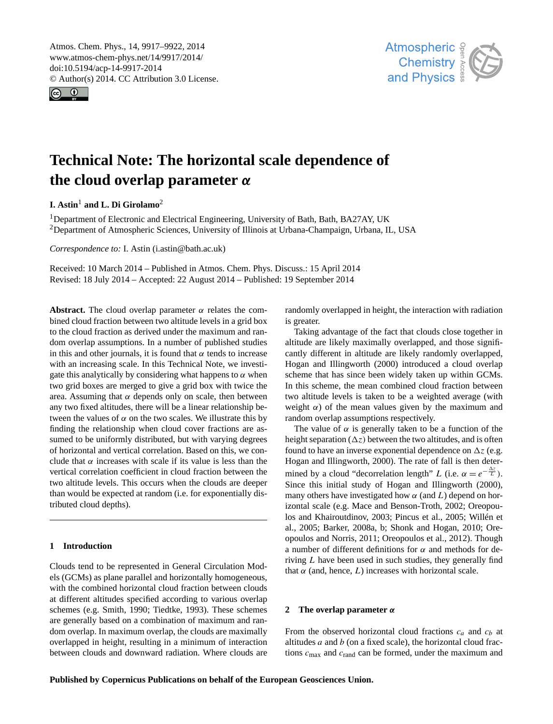<span id="page-0-0"></span>Atmos. Chem. Phys., 14, 9917–9922, 2014 www.atmos-chem-phys.net/14/9917/2014/ doi:10.5194/acp-14-9917-2014 © Author(s) 2014. CC Attribution 3.0 License.





# **Technical Note: The horizontal scale dependence of the cloud overlap parameter** α

**I. Astin**<sup>1</sup> **and L. Di Girolamo**<sup>2</sup>

<sup>1</sup>Department of Electronic and Electrical Engineering, University of Bath, Bath, BA27AY, UK <sup>2</sup>Department of Atmospheric Sciences, University of Illinois at Urbana-Champaign, Urbana, IL, USA

*Correspondence to:* I. Astin (i.astin@bath.ac.uk)

Received: 10 March 2014 – Published in Atmos. Chem. Phys. Discuss.: 15 April 2014 Revised: 18 July 2014 – Accepted: 22 August 2014 – Published: 19 September 2014

**Abstract.** The cloud overlap parameter  $\alpha$  relates the combined cloud fraction between two altitude levels in a grid box to the cloud fraction as derived under the maximum and random overlap assumptions. In a number of published studies in this and other journals, it is found that  $\alpha$  tends to increase with an increasing scale. In this Technical Note, we investigate this analytically by considering what happens to  $\alpha$  when two grid boxes are merged to give a grid box with twice the area. Assuming that  $\alpha$  depends only on scale, then between any two fixed altitudes, there will be a linear relationship between the values of  $\alpha$  on the two scales. We illustrate this by finding the relationship when cloud cover fractions are assumed to be uniformly distributed, but with varying degrees of horizontal and vertical correlation. Based on this, we conclude that  $\alpha$  increases with scale if its value is less than the vertical correlation coefficient in cloud fraction between the two altitude levels. This occurs when the clouds are deeper than would be expected at random (i.e. for exponentially distributed cloud depths).

## **1 Introduction**

Clouds tend to be represented in General Circulation Models (GCMs) as plane parallel and horizontally homogeneous, with the combined horizontal cloud fraction between clouds at different altitudes specified according to various overlap schemes (e.g. Smith, 1990; Tiedtke, 1993). These schemes are generally based on a combination of maximum and random overlap. In maximum overlap, the clouds are maximally overlapped in height, resulting in a minimum of interaction between clouds and downward radiation. Where clouds are randomly overlapped in height, the interaction with radiation is greater.

Taking advantage of the fact that clouds close together in altitude are likely maximally overlapped, and those significantly different in altitude are likely randomly overlapped, Hogan and Illingworth (2000) introduced a cloud overlap scheme that has since been widely taken up within GCMs. In this scheme, the mean combined cloud fraction between two altitude levels is taken to be a weighted average (with weight  $\alpha$ ) of the mean values given by the maximum and random overlap assumptions respectively.

The value of  $\alpha$  is generally taken to be a function of the height separation  $(\Delta z)$  between the two altitudes, and is often found to have an inverse exponential dependence on  $\Delta z$  (e.g. Hogan and Illingworth, 2000). The rate of fall is then determined by a cloud "decorrelation length" L (i.e.  $\alpha = e^{-\frac{\Delta z}{L}}$ ). Since this initial study of Hogan and Illingworth (2000), many others have investigated how  $\alpha$  (and L) depend on horizontal scale (e.g. Mace and Benson-Troth, 2002; Oreopoulos and Khairoutdinov, 2003; Pincus et al., 2005; Willén et al., 2005; Barker, 2008a, b; Shonk and Hogan, 2010; Oreopoulos and Norris, 2011; Oreopoulos et al., 2012). Though a number of different definitions for  $\alpha$  and methods for deriving L have been used in such studies, they generally find that  $\alpha$  (and, hence, L) increases with horizontal scale.

# **2 The overlap parameter** α

From the observed horizontal cloud fractions  $c_a$  and  $c_b$  at altitudes  $a$  and  $b$  (on a fixed scale), the horizontal cloud fractions  $c_{\text{max}}$  and  $c_{\text{rand}}$  can be formed, under the maximum and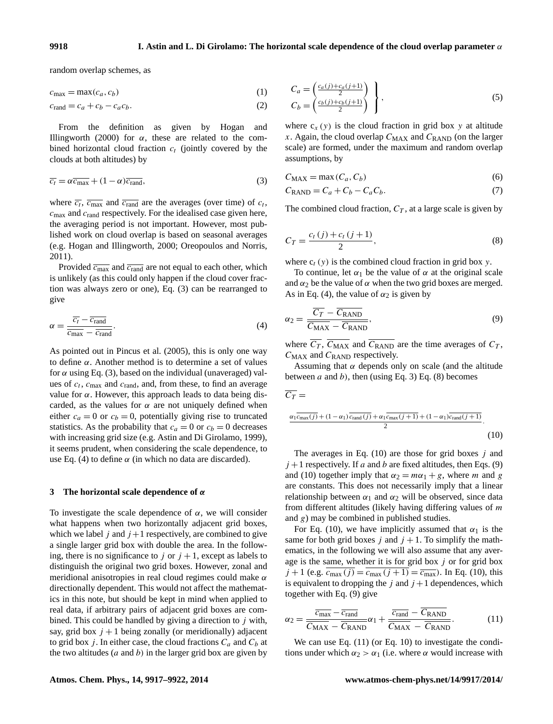random overlap schemes, as

$$
c_{\max} = \max(c_a, c_b) \tag{1}
$$

$$
c_{\text{rand}} = c_a + c_b - c_a c_b. \tag{2}
$$

From the definition as given by Hogan and Illingworth (2000) for  $\alpha$ , these are related to the combined horizontal cloud fraction  $c_t$  (jointly covered by the clouds at both altitudes) by

$$
\overline{c_t} = \alpha \overline{c_{\text{max}}} + (1 - \alpha) \overline{c_{\text{rand}}},\tag{3}
$$

where  $\overline{c_t}$ ,  $\overline{c_{\text{max}}}$  and  $\overline{c_{\text{rand}}}$  are the averages (over time) of  $c_t$ ,  $c_{\text{max}}$  and  $c_{\text{rand}}$  respectively. For the idealised case given here, the averaging period is not important. However, most published work on cloud overlap is based on seasonal averages (e.g. Hogan and Illingworth, 2000; Oreopoulos and Norris, 2011).

Provided  $\overline{c_{\text{max}}}$  and  $\overline{c_{\text{rand}}}$  are not equal to each other, which is unlikely (as this could only happen if the cloud cover fraction was always zero or one), Eq. (3) can be rearranged to give

$$
\alpha = \frac{\overline{c_t} - \overline{c_{\text{rand}}}}{\overline{c_{\text{max}}} - \overline{c_{\text{rand}}}}.\tag{4}
$$

As pointed out in Pincus et al. (2005), this is only one way to define α. Another method is to determine a set of values for  $\alpha$  using Eq. (3), based on the individual (unaveraged) values of  $c_t$ ,  $c_{\text{max}}$  and  $c_{\text{rand}}$ , and, from these, to find an average value for α. However, this approach leads to data being discarded, as the values for  $\alpha$  are not uniquely defined when either  $c_a = 0$  or  $c_b = 0$ , potentially giving rise to truncated statistics. As the probability that  $c_a = 0$  or  $c_b = 0$  decreases with increasing grid size (e.g. Astin and Di Girolamo, 1999), it seems prudent, when considering the scale dependence, to use Eq. (4) to define  $\alpha$  (in which no data are discarded).

#### **3 The horizontal scale dependence of** α

To investigate the scale dependence of  $\alpha$ , we will consider what happens when two horizontally adjacent grid boxes, which we label j and  $j+1$  respectively, are combined to give a single larger grid box with double the area. In the following, there is no significance to j or  $j + 1$ , except as labels to distinguish the original two grid boxes. However, zonal and meridional anisotropies in real cloud regimes could make  $\alpha$ directionally dependent. This would not affect the mathematics in this note, but should be kept in mind when applied to real data, if arbitrary pairs of adjacent grid boxes are combined. This could be handled by giving a direction to  $j$  with, say, grid box  $j + 1$  being zonally (or meridionally) adjacent to grid box j. In either case, the cloud fractions  $C_a$  and  $C_b$  at the two altitudes  $(a \text{ and } b)$  in the larger grid box are given by

$$
C_a = \begin{pmatrix} \frac{c_a(j) + c_a(j+1)}{2} \\ C_b = \begin{pmatrix} \frac{c_b(j) + c_b(j+1)}{2} \end{pmatrix} \end{pmatrix},
$$
\n(5)

where  $c_x(y)$  is the cloud fraction in grid box y at altitude x. Again, the cloud overlap  $C_{MAX}$  and  $C_{RAND}$  (on the larger scale) are formed, under the maximum and random overlap assumptions, by

$$
C_{\text{MAX}} = \max(C_a, C_b) \tag{6}
$$

$$
C_{\text{RAND}} = C_a + C_b - C_a C_b. \tag{7}
$$

The combined cloud fraction,  $C_T$ , at a large scale is given by

$$
C_T = \frac{c_t(j) + c_t(j+1)}{2},
$$
\n(8)

where  $c_t$  (y) is the combined cloud fraction in grid box y.

To continue, let  $\alpha_1$  be the value of  $\alpha$  at the original scale and  $\alpha_2$  be the value of  $\alpha$  when the two grid boxes are merged. As in Eq. (4), the value of  $\alpha_2$  is given by

$$
\alpha_2 = \frac{\overline{C_T} - \overline{C_{\text{RAND}}}}{\overline{C_{\text{MAX}}} - \overline{C_{\text{RAND}}}},
$$
\n(9)

where  $\overline{C_T}$ ,  $\overline{C_{\text{MAX}}}$  and  $\overline{C_{\text{RAND}}}$  are the time averages of  $C_T$ ,  $C_{MAX}$  and  $C_{RAND}$  respectively.

Assuming that  $\alpha$  depends only on scale (and the altitude between a and b), then (using Eq. 3) Eq. (8) becomes

$$
\overline{C_T} = \frac{\alpha_1 \overline{c_{\text{max}}(j)} + (1 - \alpha_1) \overline{c_{\text{rand}}(j)} + \alpha_1 \overline{c_{\text{max}}(j+1)} + (1 - \alpha_1) \overline{c_{\text{rand}}(j+1)}}{2}.
$$
\n(10)

The averages in Eq.  $(10)$  are those for grid boxes j and  $j+1$  respectively. If a and b are fixed altitudes, then Eqs. (9) and (10) together imply that  $\alpha_2 = m\alpha_1 + g$ , where m and g are constants. This does not necessarily imply that a linear relationship between  $\alpha_1$  and  $\alpha_2$  will be observed, since data from different altitudes (likely having differing values of  $m$ and  $g$ ) may be combined in published studies.

For Eq. (10), we have implicitly assumed that  $\alpha_1$  is the same for both grid boxes j and  $j + 1$ . To simplify the mathematics, in the following we will also assume that any average is the same, whether it is for grid box  $j$  or for grid box  $j + 1$  (e.g.  $c_{\text{max}}(j) = c_{\text{max}}(j + 1) = \overline{c_{\text{max}}}$ ). In Eq. (10), this is equivalent to dropping the j and  $j+1$  dependences, which together with Eq. (9) give

$$
\alpha_2 = \frac{\overline{c_{\text{max}} - \overline{c_{\text{rand}}}}}{\overline{C_{\text{MAX}}} - \overline{C_{\text{RAND}}}} \alpha_1 + \frac{\overline{c_{\text{rand}} - \overline{C_{\text{RAND}}}}}{\overline{C_{\text{MAX}}} - \overline{C_{\text{RAND}}}}.\tag{11}
$$

We can use Eq.  $(11)$  (or Eq. 10) to investigate the conditions under which  $\alpha_2 > \alpha_1$  (i.e. where  $\alpha$  would increase with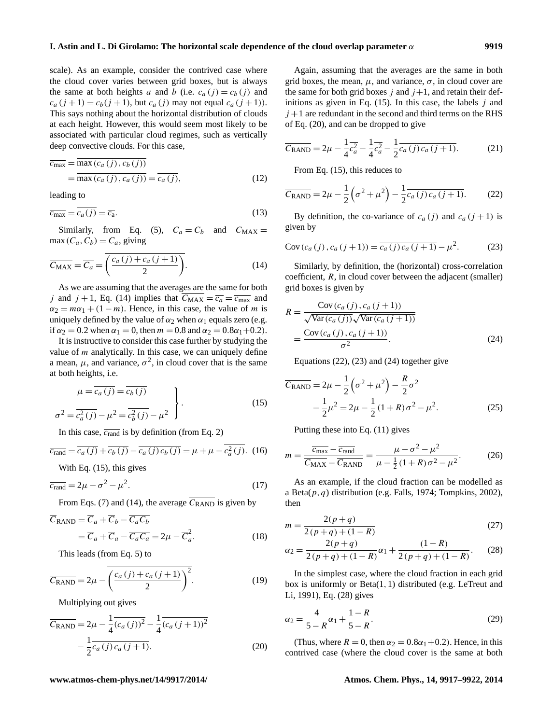scale). As an example, consider the contrived case where the cloud cover varies between grid boxes, but is always the same at both heights a and b (i.e.  $c_a(j) = c_b(j)$  and  $c_a (j + 1) = c_b (j + 1)$ , but  $c_a (j)$  may not equal  $c_a (j + 1)$ ). This says nothing about the horizontal distribution of clouds at each height. However, this would seem most likely to be associated with particular cloud regimes, such as vertically deep convective clouds. For this case,

$$
\overline{c_{\max}} = \frac{\max(c_a(j), c_b(j))}{\max(c_a(j), c_a(j))} = \overline{c_a(j)},
$$
\n(12)

leading to

$$
\overline{c_{\max}} = \overline{c_a(j)} = \overline{c_a}.
$$
\n(13)

Similarly, from Eq. (5),  $C_a = C_b$  and  $C_{MAX} =$  $max(C_a, C_b) = C_a$ , giving

$$
\overline{C_{MAX}} = \overline{C_a} = \overline{\left(\frac{c_a(j) + c_a(j+1)}{2}\right)}.
$$
\n(14)

As we are assuming that the averages are the same for both j and  $j + 1$ , Eq. (14) implies that  $C_{MAX} = \overline{c_a} = \overline{c_{max}}$  and  $\alpha_2 = m\alpha_1 + (1 - m)$ . Hence, in this case, the value of m is uniquely defined by the value of  $\alpha_2$  when  $\alpha_1$  equals zero (e.g. if  $\alpha_2 = 0.2$  when  $\alpha_1 = 0$ , then  $m = 0.8$  and  $\alpha_2 = 0.8\alpha_1 + 0.2$ .

It is instructive to consider this case further by studying the value of  $m$  analytically. In this case, we can uniquely define a mean,  $\mu$ , and variance,  $\sigma^2$ , in cloud cover that is the same at both heights, i.e.

$$
\mu = \overline{c_a(j)} = \overline{c_b(j)}
$$
  
\n
$$
\sigma^2 = \overline{c_a^2(j)} - \mu^2 = \overline{c_b^2(j)} - \mu^2
$$
\n(15)

In this case,  $\overline{c_{\text{rand}}}$  is by definition (from Eq. 2)

$$
\overline{c_{\text{rand}}} = \overline{c_a(j)} + \overline{c_b(j)} - \overline{c_a(j)c_b(j)} = \mu + \mu - \overline{c_a^2(j)}.
$$
 (16)

With Eq.  $(15)$ , this gives

$$
\overline{c_{\text{rand}}} = 2\mu - \sigma^2 - \mu^2. \tag{17}
$$

From Eqs. (7) and (14), the average  $\overline{C_{\rm RAND}}$  is given by

$$
\overline{C}_{\text{RAND}} = \overline{C}_a + \overline{C}_b - \overline{C_a C_b} \n= \overline{C}_a + \overline{C}_a - \overline{C_a C_a} = 2\mu - \overline{C}_a^2.
$$
\n(18)

This leads (from Eq. 5) to

$$
\overline{C_{\text{RAND}}} = 2\mu - \overline{\left(\frac{c_a(j) + c_a(j+1)}{2}\right)^2}.
$$
 (19)

Multiplying out gives

$$
\overline{C_{\text{RAND}}} = 2\mu - \frac{1}{4} \overline{(c_a(j))^2} - \frac{1}{4} \overline{(c_a(j+1))^2} - \frac{1}{2} \overline{c_a(j)c_a(j+1)}.
$$
\n(20)

Again, assuming that the averages are the same in both grid boxes, the mean,  $\mu$ , and variance,  $\sigma$ , in cloud cover are the same for both grid boxes j and  $j+1$ , and retain their definitions as given in Eq.  $(15)$ . In this case, the labels j and  $j+1$  are redundant in the second and third terms on the RHS of Eq. (20), and can be dropped to give

$$
\overline{C_{\text{RAND}}} = 2\mu - \frac{1}{4}\overline{c_a^2} - \frac{1}{4}\overline{c_a^2} - \frac{1}{2}\overline{c_a(j)c_a(j+1)}.
$$
 (21)

From Eq. (15), this reduces to

$$
\overline{C_{\text{RAND}}} = 2\mu - \frac{1}{2} \left( \sigma^2 + \mu^2 \right) - \frac{1}{2} \overline{c_a(j) c_a (j+1)}.
$$
 (22)

By definition, the co-variance of  $c_a(j)$  and  $c_a(j+1)$  is given by

Cov 
$$
(c_a(j), c_a(j+1)) = \overline{c_a(j)c_a(j+1)} - \mu^2
$$
. (23)

Similarly, by definition, the (horizontal) cross-correlation coefficient, R, in cloud cover between the adjacent (smaller) grid boxes is given by

$$
R = \frac{\text{Cov}(c_a(j), c_a(j+1))}{\sqrt{\text{Var}(c_a(j))}\sqrt{\text{Var}(c_a(j+1))}}
$$

$$
= \frac{\text{Cov}(c_a(j), c_a(j+1))}{\sigma^2}.
$$
(24)

Equations (22), (23) and (24) together give

$$
\overline{C_{\text{RAND}}} = 2\mu - \frac{1}{2} \left( \sigma^2 + \mu^2 \right) - \frac{R}{2} \sigma^2
$$

$$
- \frac{1}{2} \mu^2 = 2\mu - \frac{1}{2} (1 + R) \sigma^2 - \mu^2. \tag{25}
$$

Putting these into Eq. (11) gives

$$
m = \frac{\overline{c_{\text{max}} - \overline{c_{\text{rand}}}}}{\overline{C_{\text{MAX}} - \overline{C_{\text{RAND}}}}} = \frac{\mu - \sigma^2 - \mu^2}{\mu - \frac{1}{2}(1 + R)\sigma^2 - \mu^2}.
$$
 (26)

As an example, if the cloud fraction can be modelled as a Beta $(p, q)$  distribution (e.g. Falls, 1974; Tompkins, 2002), then

$$
m = \frac{2(p+q)}{2(p+q) + (1-R)}
$$
(27)

$$
\alpha_2 = \frac{2(p+q)}{2(p+q) + (1-R)} \alpha_1 + \frac{(1-R)}{2(p+q) + (1-R)}.\tag{28}
$$

In the simplest case, where the cloud fraction in each grid box is uniformly or Beta(1,1) distributed (e.g. LeTreut and Li, 1991), Eq. (28) gives

$$
\alpha_2 = \frac{4}{5 - R}\alpha_1 + \frac{1 - R}{5 - R}.\tag{29}
$$

(Thus, where  $R = 0$ , then  $\alpha_2 = 0.8\alpha_1 + 0.2$ ). Hence, in this contrived case (where the cloud cover is the same at both

#### **www.atmos-chem-phys.net/14/9917/2014/ Atmos. Chem. Phys., 14, 9917[–9922,](#page-0-0) 2014**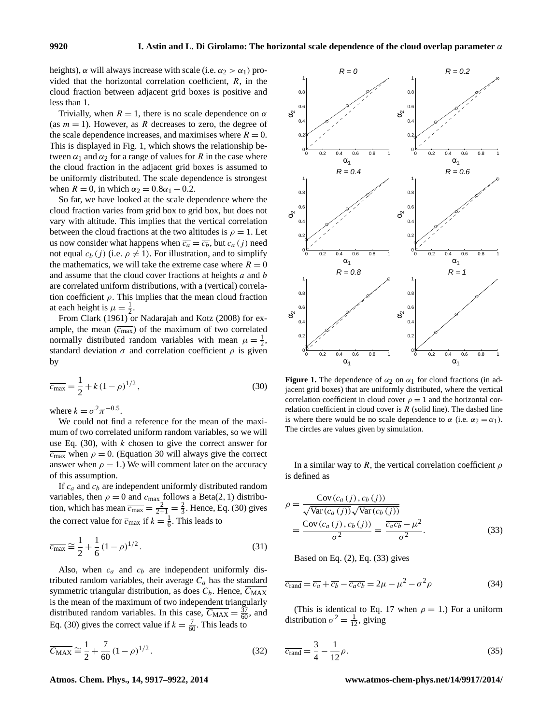heights),  $\alpha$  will always increase with scale (i.e.  $\alpha_2 > \alpha_1$ ) provided that the horizontal correlation coefficient,  $R$ , in the cloud fraction between adjacent grid boxes is positive and less than 1.

Trivially, when  $R = 1$ , there is no scale dependence on  $\alpha$ (as  $m = 1$ ). However, as R decreases to zero, the degree of the scale dependence increases, and maximises where  $R = 0$ . This is displayed in Fig. 1, which shows the relationship between  $\alpha_1$  and  $\alpha_2$  for a range of values for R in the case where the cloud fraction in the adjacent grid boxes is assumed to be uniformly distributed. The scale dependence is strongest when  $R = 0$ , in which  $\alpha_2 = 0.8\alpha_1 + 0.2$ .

So far, we have looked at the scale dependence where the cloud fraction varies from grid box to grid box, but does not vary with altitude. This implies that the vertical correlation between the cloud fractions at the two altitudes is  $\rho = 1$ . Let us now consider what happens when  $\overline{c_a} = \overline{c_b}$ , but  $c_a(j)$  need not equal  $c_b$  (j) (i.e.  $\rho \neq 1$ ). For illustration, and to simplify the mathematics, we will take the extreme case where  $R = 0$ and assume that the cloud cover fractions at heights  $a$  and  $b$ are correlated uniform distributions, with a (vertical) correlation coefficient  $\rho$ . This implies that the mean cloud fraction at each height is  $\mu = \frac{1}{2}$ .

From Clark (1961) or Nadarajah and Kotz (2008) for example, the mean  $(\overline{c_{\text{max}}})$  of the maximum of two correlated normally distributed random variables with mean  $\mu = \frac{1}{2}$ , standard deviation  $\sigma$  and correlation coefficient  $\rho$  is given by

$$
\overline{c_{\text{max}}} = \frac{1}{2} + k(1 - \rho)^{1/2},\tag{30}
$$

where  $k = \sigma^2 \pi^{-0.5}$ .

We could not find a reference for the mean of the maximum of two correlated uniform random variables, so we will use Eq.  $(30)$ , with k chosen to give the correct answer for  $\overline{c_{\text{max}}}$  when  $\rho = 0$ . (Equation 30 will always give the correct answer when  $\rho = 1$ .) We will comment later on the accuracy of this assumption.

If  $c_a$  and  $c_b$  are independent uniformly distributed random variables, then  $\rho = 0$  and  $c_{\text{max}}$  follows a Beta(2, 1) distribution, which has mean  $\overline{c_{\text{max}}} = \frac{2}{2+1} = \frac{2}{3}$ . Hence, Eq. (30) gives the correct value for  $\overline{c}_{\text{max}}$  if  $k = \frac{1}{6}$ . This leads to

$$
\overline{c_{\max}} \cong \frac{1}{2} + \frac{1}{6} (1 - \rho)^{1/2}.
$$
 (31)

Also, when  $c_a$  and  $c_b$  are independent uniformly distributed random variables, their average  $C_a$  has the standard symmetric triangular distribution, as does  $C_b$ . Hence,  $\overline{C_{MAX}}$ is the mean of the maximum of two independent triangularly distributed random variables. In this case,  $\overline{C_{MAX}} = \frac{37}{60}$ , and Eq. (30) gives the correct value if  $k = \frac{7}{60}$ . This leads to

$$
\overline{C_{\text{MAX}}} \cong \frac{1}{2} + \frac{7}{60} (1 - \rho)^{1/2}.
$$
 (32)



**Figure 1.** The dependence of  $\alpha_2$  on  $\alpha_1$  for cloud fractions (in adjacent grid boxes) that are uniformly distributed, where the vertical correlation coefficient in cloud cover  $\rho = 1$  and the horizontal correlation coefficient in cloud cover is  $R$  (solid line). The dashed line is where there would be no scale dependence to  $\alpha$  (i.e.  $\alpha_2 = \alpha_1$ ). The circles are values given by simulation.

In a similar way to R, the vertical correlation coefficient  $\rho$ is defined as

$$
\rho = \frac{\text{Cov}(c_a(j), c_b(j))}{\sqrt{\text{Var}(c_a(j))}\sqrt{\text{Var}(c_b(j))}}
$$

$$
= \frac{\text{Cov}(c_a(j), c_b(j))}{\sigma^2} = \frac{\overline{c_a c_b} - \mu^2}{\sigma^2}.
$$
(33)

Based on Eq. (2), Eq. (33) gives

$$
\overline{c_{\text{rand}}} = \overline{c_a} + \overline{c_b} - \overline{c_a c_b} = 2\mu - \mu^2 - \sigma^2 \rho \tag{34}
$$

(This is identical to Eq. 17 when  $\rho = 1$ .) For a uniform distribution  $\sigma^2 = \frac{1}{12}$ , giving

$$
\overline{c_{\text{rand}}} = \frac{3}{4} - \frac{1}{12}\rho. \tag{35}
$$

#### **Atmos. Chem. Phys., 14, 9917[–9922,](#page-0-0) 2014 www.atmos-chem-phys.net/14/9917/2014/**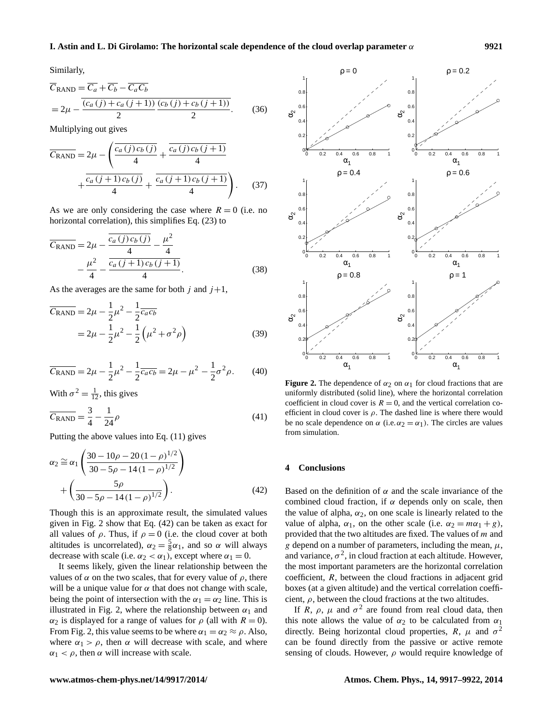Similarly,

$$
\overline{C}_{\text{RAND}} = \overline{C_a} + \overline{C_b} - \overline{C_a C_b}
$$
  
= 
$$
2\mu - \frac{\overline{(c_a(j) + c_a(j+1))} (c_b(j) + c_b(j+1))}{2}.
$$
 (36)

Multiplying out gives

$$
\overline{C_{\text{RAND}}} = 2\mu - \left(\frac{\overline{c_a(j)c_b(j)}}{4} + \frac{\overline{c_a(j)c_b(j+1)}}{4} + \frac{\overline{c_a(j+1)c_b(j+1)}}{4} + \frac{\overline{c_a(j+1)c_b(j+1)}}{4}\right).
$$
 (37)

As we are only considering the case where  $R = 0$  (i.e. no horizontal correlation), this simplifies Eq. (23) to

$$
\overline{C_{\text{RAND}}} = 2\mu - \frac{\overline{c_a(j)c_b(j)}}{4} - \frac{\mu^2}{4} - \frac{\mu^2}{4} - \frac{\overline{c_a(j+1)c_b(j+1)}}{4}.
$$
\n(38)

As the averages are the same for both j and  $j+1$ ,

$$
\overline{C_{\text{RAND}}} = 2\mu - \frac{1}{2}\mu^2 - \frac{1}{2}\overline{c_a c_b}
$$
  
=  $2\mu - \frac{1}{2}\mu^2 - \frac{1}{2}\left(\mu^2 + \sigma^2 \rho\right)$  (39)

$$
\overline{C_{\text{RAND}}} = 2\mu - \frac{1}{2}\mu^2 - \frac{1}{2}\overline{c_a c_b} = 2\mu - \mu^2 - \frac{1}{2}\sigma^2 \rho. \tag{40}
$$

With  $\sigma^2 = \frac{1}{12}$ , this gives

$$
\overline{C_{\text{RAND}}} = \frac{3}{4} - \frac{1}{24}\rho \tag{41}
$$

Putting the above values into Eq. (11) gives

$$
\alpha_2 \approx \alpha_1 \left( \frac{30 - 10\rho - 20(1 - \rho)^{1/2}}{30 - 5\rho - 14(1 - \rho)^{1/2}} \right) + \left( \frac{5\rho}{30 - 5\rho - 14(1 - \rho)^{1/2}} \right).
$$
(42)

Though this is an approximate result, the simulated values given in Fig. 2 show that Eq. (42) can be taken as exact for all values of  $\rho$ . Thus, if  $\rho = 0$  (i.e. the cloud cover at both altitudes is uncorrelated),  $\alpha_2 = \frac{5}{8}\alpha_1$ , and so  $\alpha$  will always decrease with scale (i.e.  $\alpha_2 < \alpha_1$ ), except where  $\alpha_1 = 0$ .

It seems likely, given the linear relationship between the values of  $\alpha$  on the two scales, that for every value of  $\rho$ , there will be a unique value for  $\alpha$  that does not change with scale, being the point of intersection with the  $\alpha_1 = \alpha_2$  line. This is illustrated in Fig. 2, where the relationship between  $\alpha_1$  and  $\alpha_2$  is displayed for a range of values for  $\rho$  (all with  $R = 0$ ). From Fig. 2, this value seems to be where  $\alpha_1 = \alpha_2 \approx \rho$ . Also, where  $\alpha_1 > \rho$ , then  $\alpha$  will decrease with scale, and where  $\alpha_1 < \rho$ , then  $\alpha$  will increase with scale.



**Figure 2.** The dependence of  $\alpha_2$  on  $\alpha_1$  for cloud fractions that are uniformly distributed (solid line), where the horizontal correlation coefficient in cloud cover is  $R = 0$ , and the vertical correlation coefficient in cloud cover is  $\rho$ . The dashed line is where there would be no scale dependence on  $\alpha$  (i.e.  $\alpha_2 = \alpha_1$ ). The circles are values from simulation.

### **4 Conclusions**

Based on the definition of  $\alpha$  and the scale invariance of the combined cloud fraction, if  $\alpha$  depends only on scale, then the value of alpha,  $\alpha_2$ , on one scale is linearly related to the value of alpha,  $\alpha_1$ , on the other scale (i.e.  $\alpha_2 = m\alpha_1 + g$ ), provided that the two altitudes are fixed. The values of m and g depend on a number of parameters, including the mean,  $\mu$ , and variance,  $\sigma^2$ , in cloud fraction at each altitude. However, the most important parameters are the horizontal correlation coefficient, R, between the cloud fractions in adjacent grid boxes (at a given altitude) and the vertical correlation coefficient,  $\rho$ , between the cloud fractions at the two altitudes.

If R,  $\rho$ ,  $\mu$  and  $\sigma^2$  are found from real cloud data, then this note allows the value of  $\alpha_2$  to be calculated from  $\alpha_1$ directly. Being horizontal cloud properties,  $R$ ,  $\mu$  and  $\sigma^2$ can be found directly from the passive or active remote sensing of clouds. However,  $\rho$  would require knowledge of